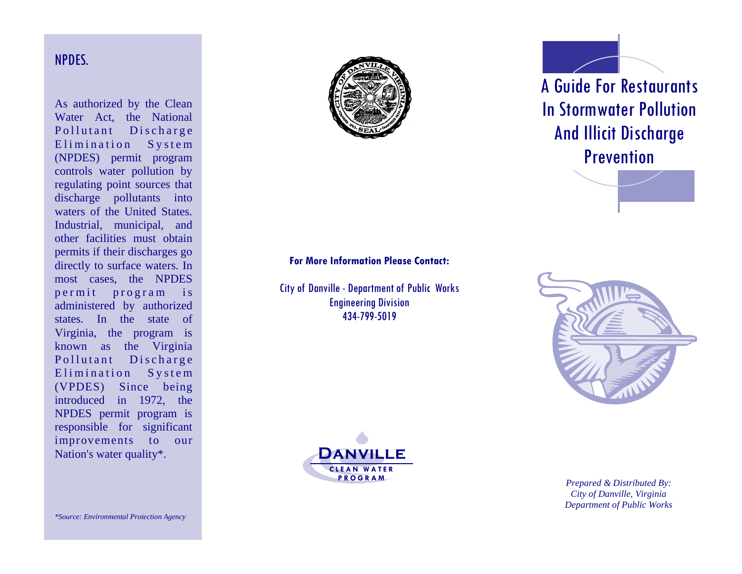### NPDES.

As authorized by the Clean Water Act, the National Pollutant Discharge Elimination System (NPDES) permit program controls water pollution by regulating point sources that discharge pollutants into waters of the United States. Industrial, municipal, and other facilities must obtain permits if their discharges go directly to surface waters. In most cases, the NPDES permit program is administered by authorized states. In the state of Virginia, the program is known as the Virginia Pollutant Discharge Elimination System (VPDES) Since being introduced in 1972, the NPDES permit program is responsible for significant improvements to our Nation's water quality\*.



# A Guide For Restaurants In Stormwater Pollution And Illicit Discharge **Prevention**



City of Danville - Department of Public Works Engineering Division 434 -799 -5019





*Prepared & Distributed By: City of Danville, Virginia Department of Public Works*